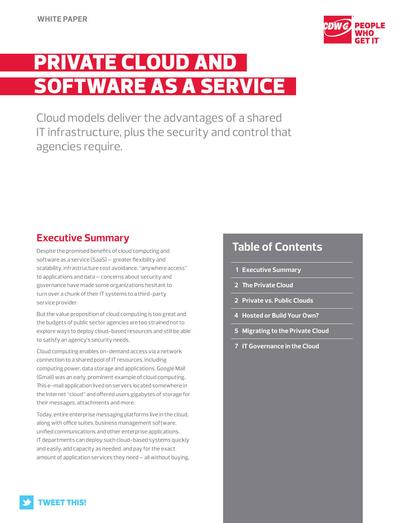

# PRIVATE CLOUD AND SOFTWARE AS A SERVICE

Cloud models deliver the advantages of a shared IT infrastructure, plus the security and control that agencies require.

# **Executive Summary**

Despite the promised benefits of cloud computing and software as a service (SaaS) — greater flexibility and scalability, infrastructure cost avoidance, "anywhere access" to applications and data — concerns about security and governance have made some organizations hesitant to turn over a chunk of their IT systems to a third-party service provider.

But the value proposition of cloud computing is too great and the budgets of public sector agencies are too strained not to explore ways to deploy cloud-based resources and still be able to satisfy an agency's security needs.

Cloud computing enables on-demand access via a network connection to a shared pool of IT resources, including computing power, data storage and applications. Google Mail (Gmail) was an early, prominent example of cloud computing. This e-mail application lived on servers located somewhere in the Internet "cloud" and offered users gigabytes of storage for their messages, attachments and more.

Today, entire enterprise messaging platforms live in the cloud, along with office suites, business management software, unified communications and other enterprise applications. IT departments can deploy such cloud-based systems quickly and easily, add capacity as needed, and pay for the exact amount of application services they need — all without buying,

# **Table of Contents**

- **1 Executive Summary**
- **2 [The Private Cloud](#page-1-0)**
- **2 [Private vs. Public Clouds](#page-1-0)**
- **[4 Hosted or Build Your Own?](#page-3-0)**
- **5 [Migrating to the Private Cloud](#page-4-0)**
- **7 [IT Governance in the Cloud](#page-6-0)**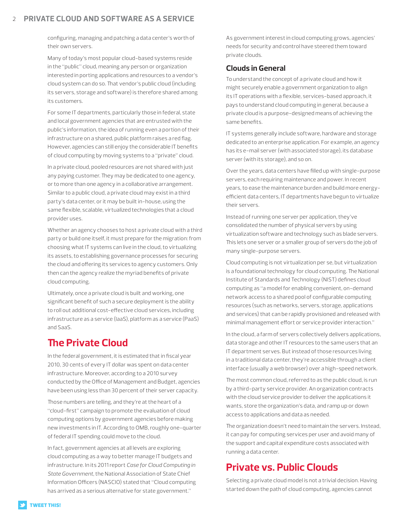### <span id="page-1-0"></span>2 **Private Cloud and Software as a Service**

configuring, managing and patching a data center's worth of their own servers.

Many of today's most popular cloud-based systems reside in the "public" cloud, meaning any person or organization interested in porting applications and resources to a vendor's cloud system can do so. That vendor's public cloud (including its servers, storage and software) is therefore shared among its customers.

For some IT departments, particularly those in federal, state and local government agencies that are entrusted with the public's information, the idea of running even a portion of their infrastructure on a shared, public platform raises a red flag. However, agencies can still enjoy the considerable IT benefits of cloud computing by moving systems to a "private" cloud.

In a private cloud, pooled resources are not shared with just any paying customer. They may be dedicated to one agency, or to more than one agency in a collaborative arrangement. Similar to a public cloud, a private cloud may exist in a third party's data center, or it may be built in-house, using the same flexible, scalable, virtualized technologies that a cloud provider uses.

Whether an agency chooses to host a private cloud with a third party or build one itself, it must prepare for the migration: from choosing what IT systems can live in the cloud, to virtualizing its assets, to establishing governance processes for securing the cloud and offering its services to agency customers. Only then can the agency realize the myriad benefits of private cloud computing.

Ultimately, once a private cloud is built and working, one significant benefit of such a secure deployment is the ability to roll out additional cost-effective cloud services, including infrastructure as a service (IaaS), platform as a service (PaaS) and SaaS.

# **The Private Cloud**

In the federal government, it is estimated that in fiscal year 2010, 30 cents of every IT dollar was spent on data center infrastructure. Moreover, according to a 2010 survey conducted by the Office of Management and Budget, agencies have been using less than 30 percent of their server capacity.

Those numbers are telling, and they're at the heart of a "cloud-first" campaign to promote the evaluation of cloud computing options by government agencies before making new investments in IT. According to OMB, roughly one-quarter of federal IT spending could move to the cloud.

In fact, government agencies at all levels are exploring cloud computing as a way to better manage IT budgets and infrastructure. In its 2011 report *Case for Cloud Computing in State Government*, the National Association of State Chief Information Officers (NASCIO) stated that "Cloud computing has arrived as a serious alternative for state government."

As government interest in cloud computing grows, agencies' needs for security and control have steered them toward private clouds.

### **Clouds in General**

To understand the concept of a private cloud and how it might securely enable a government organization to align its IT operations with a flexible, services-based approach, it pays to understand cloud computing in general, because a private cloud is a purpose-designed means of achieving the same benefits.

IT systems generally include software, hardware and storage dedicated to an enterprise application. For example, an agency has its e-mail server (with associated storage), its database server (with its storage), and so on.

Over the years, data centers have filled up with single-purpose servers, each requiring maintenance and power. In recent years, to ease the maintenance burden and build more energyefficient data centers, IT departments have begun to virtualize their servers.

Instead of running one server per application, they've consolidated the number of physical servers by using virtualization software and technology such as blade servers. This lets one server or a smaller group of servers do the job of many single-purpose servers.

Cloud computing is not virtualization per se, but virtualization is a foundational technology for cloud computing. The National Institute of Standards and Technology (NIST) defines cloud computing as "a model for enabling convenient, on-demand network access to a shared pool of configurable computing resources (such as networks, servers, storage, applications and services) that can be rapidly provisioned and released with minimal management effort or service provider interaction."

In the cloud, a farm of servers collectively delivers applications, data storage and other IT resources to the same users that an IT department serves. But instead of those resources living in a traditional data center, they're accessible through a client interface (usually a web browser) over a high-speed network.

The most common cloud, referred to as the public cloud, is run by a third-party service provider. An organization contracts with the cloud service provider to deliver the applications it wants, store the organization's data, and ramp up or down access to applications and data as needed.

The organization doesn't need to maintain the servers. Instead, it can pay for computing services per user and avoid many of the support and capital expenditure costs associated with running a data center.

# **Private vs. Public Clouds**

Selecting a private cloud model is not a trivial decision. Having started down the path of cloud computing, agencies cannot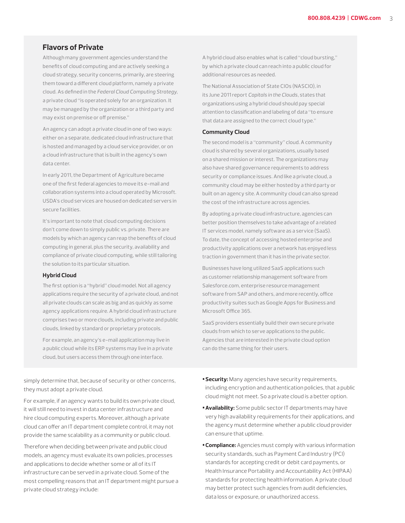### **Flavors of Private**

Although many government agencies understand the benefits of cloud computing and are actively seeking a cloud strategy, security concerns, primarily, are steering them toward a different cloud platform, namely a private cloud. As defined in the *Federal Cloud Computing Strategy,*  a private cloud "is operated solely for an organization. It may be managed by the organization or a third party and may exist on premise or off premise."

An agency can adopt a private cloud in one of two ways: either on a separate, dedicated cloud infrastructure that is hosted and managed by a cloud service provider, or on a cloud infrastructure that is built in the agency's own data center.

In early 2011, the Department of Agriculture became one of the first federal agencies to move its e-mail and collaboration systems into a cloud operated by Microsoft. USDA's cloud services are housed on dedicated servers in secure facilities.

It's important to note that cloud computing decisions don't come down to simply public vs. private. There are models by which an agency can reap the benefits of cloud computing in general, plus the security, availability and compliance of private cloud computing, while still tailoring the solution to its particular situation.

#### **Hybrid Cloud**

The first option is a "hybrid" cloud model. Not all agency applications require the security of a private cloud, and not all private clouds can scale as big and as quickly as some agency applications require. A hybrid cloud infrastructure comprises two or more clouds, including private and public clouds, linked by standard or proprietary protocols.

For example, an agency's e-mail application may live in a public cloud while its ERP systems may live in a private cloud, but users access them through one interface.

A hybrid cloud also enables what is called "cloud bursting," by which a private cloud can reach into a public cloud for additional resources as needed.

The National Association of State CIOs (NASCIO), in its June 2011 report *Capitals in the Clouds*, states that organizations using a hybrid cloud should pay special attention to classification and labeling of data "to ensure that data are assigned to the correct cloud type."

#### **Community Cloud**

The second model is a "community" cloud. A community cloud is shared by several organizations, usually based on a shared mission or interest. The organizations may also have shared governance requirements to address security or compliance issues. And like a private cloud, a community cloud may be either hosted by a third party or built on an agency site. A community cloud can also spread the cost of the infrastructure across agencies.

By adopting a private cloud infrastructure, agencies can better position themselves to take advantage of a related IT services model, namely software as a service (SaaS). To date, the concept of accessing hosted enterprise and productivity applications over a network has enjoyed less traction in government than it has in the private sector.

Businesses have long utilized SaaS applications such as customer relationship management software from Salesforce.com, enterprise resource management software from SAP and others, and more recently, office productivity suites such as Google Apps for Business and Microsoft Office 365.

SaaS providers essentially build their own secure private clouds from which to serve applications to the public. Agencies that are interested in the private cloud option can do the same thing for their users.

simply determine that, because of security or other concerns, they must adopt a private cloud.

For example, if an agency wants to build its own private cloud, it will still need to invest in data center infrastructure and hire cloud computing experts. Moreover, although a private cloud can offer an IT department complete control, it may not provide the same scalability as a community or public cloud.

Therefore when deciding between private and public cloud models, an agency must evaluate its own policies, processes and applications to decide whether some or all of its IT infrastructure can be served in a private cloud. Some of the most compelling reasons that an IT department might pursue a private cloud strategy include:

- **•Security:** Many agencies have security requirements, including encryption and authentication policies, that a public cloud might not meet. So a private cloud is a better option.
- **• Availability:** Some public sector IT departments may have very high availability requirements for their applications, and the agency must determine whether a public cloud provider can ensure that uptime.
- **•Compliance:** Agencies must comply with various information security standards, such as Payment Card Industry (PCI) standards for accepting credit or debit card payments, or Health Insurance Portability and Accountability Act (HIPAA) standards for protecting health information. A private cloud may better protect such agencies from audit deficiencies, data loss or exposure, or unauthorized access.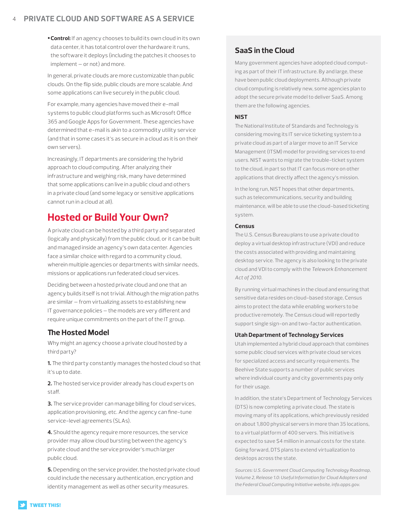### <span id="page-3-0"></span>4 **Private Cloud and Software as a Service**

**•Control:** If an agency chooses to build its own cloud in its own data center, it has total control over the hardware it runs, the software it deploys (including the patches it chooses to implement — or not) and more.

In general, private clouds are more customizable than public clouds. On the flip side, public clouds are more scalable. And some applications can live securely in the public cloud.

For example, many agencies have moved their e-mail systems to public cloud platforms such as Microsoft Office 365 and Google Apps for Government. These agencies have determined that e-mail is akin to a commodity utility service (and that in some cases it's as secure in a cloud as it is on their own servers).

Increasingly, IT departments are considering the hybrid approach to cloud computing. After analyzing their infrastructure and weighing risk, many have determined that some applications can live in a public cloud and others in a private cloud (and some legacy or sensitive applications cannot run in a cloud at all).

# **Hosted or Build Your Own?**

A private cloud can be hosted by a third party and separated (logically and physically) from the public cloud, or it can be built and managed inside an agency's own data center. Agencies face a similar choice with regard to a community cloud, wherein multiple agencies or departments with similar needs, missions or applications run federated cloud services.

Deciding between a hosted private cloud and one that an agency builds itself is not trivial. Although the migration paths are similar — from virtualizing assets to establishing new IT governance policies — the models are very different and require unique commitments on the part of the IT group.

# **The Hosted Model**

Why might an agency choose a private cloud hosted by a third party?

**1.** The third party constantly manages the hosted cloud so that it's up to date.

**2.** The hosted service provider already has cloud experts on staff.

**3.** The service provider can manage billing for cloud services, application provisioning, etc. And the agency can fine-tune service-level agreements (SLAs).

**4.** Should the agency require more resources, the service provider may allow cloud bursting between the agency's private cloud and the service provider's much larger public cloud.

**5.** Depending on the service provider, the hosted private cloud could include the necessary authentication, encryption and identity management as well as other security measures.

# **SaaS in the Cloud**

Many government agencies have adopted cloud computing as part of their IT infrastructure. By and large, these have been public cloud deployments. Although private cloud computing is relatively new, some agencies plan to adopt the secure private model to deliver SaaS. Among them are the following agencies.

#### **NIST**

The National Institute of Standards and Technology is considering moving its IT service ticketing system to a private cloud as part of a larger move to an IT Service Management (ITSM) model for providing services to end users. NIST wants to migrate the trouble-ticket system to the cloud, in part so that IT can focus more on other applications that directly affect the agency's mission.

In the long run, NIST hopes that other departments, such as telecommunications, security and building maintenance, will be able to use the cloud-based ticketing system.

#### **Census**

The U.S. Census Bureau plans to use a private cloud to deploy a virtual desktop infrastructure (VDI) and reduce the costs associated with providing and maintaining desktop service. The agency is also looking to the private cloud and VDI to comply with the *Telework Enhancement Act of 2010.* 

By running virtual machines in the cloud and ensuring that sensitive data resides on cloud-based storage, Census aims to protect the data while enabling workers to be productive remotely. The Census cloud will reportedly support single sign-on and two-factor authentication.

#### **Utah Department of Technology Services**

Utah implemented a hybrid cloud approach that combines some public cloud services with private cloud services for specialized access and security requirements. The Beehive State supports a number of public services where individual county and city governments pay only for their usage.

In addition, the state's Department of Technology Services (DTS) is now completing a private cloud. The state is moving many of its applications, which previously resided on about 1,800 physical servers in more than 35 locations, to a virtual platform of 400 servers. This initiative is expected to save \$4 million in annual costs for the state. Going forward, DTS plans to extend virtualization to desktops across the state.

*Sources: U.S. Government Cloud Computing Technology Roadmap, Volume 2, Release 1.0: Useful Information for Cloud Adopters and the Federal Cloud Computing Initiative website, info.apps.gov.*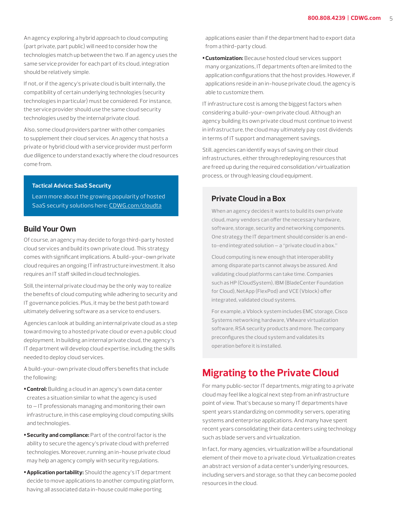<span id="page-4-0"></span>An agency exploring a hybrid approach to cloud computing (part private, part public) will need to consider how the technologies match up between the two. If an agency uses the same service provider for each part of its cloud, integration should be relatively simple.

If not, or if the agency's private cloud is built internally, the compatibility of certain underlying technologies (security technologies in particular) must be considered. For instance, the service provider should use the same cloud security technologies used by the internal private cloud.

Also, some cloud providers partner with other companies to supplement their cloud services. An agency that hosts a private or hybrid cloud with a service provider must perform due diligence to understand exactly where the cloud resources come from.

#### **Tactical Advice: SaaS Security**

Learn more about the growing popularity of hosted SaaS security solutions here: CDWG.com/cloudta

### **Build Your Own**

Of course, an agency may decide to forgo third-party hosted cloud services and build its own private cloud. This strategy comes with significant implications. A build-your-own private cloud requires an ongoing IT infrastructure investment. It also requires an IT staff skilled in cloud technologies.

Still, the internal private cloud may be the only way to realize the benefits of cloud computing while adhering to security and IT governance policies. Plus, it may be the best path toward ultimately delivering software as a service to end users.

Agencies can look at building an internal private cloud as a step toward moving to a hosted private cloud or even a public cloud deployment. In building an internal private cloud, the agency's IT department will develop cloud expertise, including the skills needed to deploy cloud services.

A build-your-own private cloud offers benefits that include the following:

- **•Control:** Building a cloud in an agency's own data center creates a situation similar to what the agency is used to — IT professionals managing and monitoring their own infrastructure, in this case employing cloud computing skills and technologies.
- **•Security and compliance:** Part of the control factor is the ability to secure the agency's private cloud with preferred technologies. Moreover, running an in-house private cloud may help an agency comply with security regulations.
- **• Application portability:** Should the agency's IT department decide to move applications to another computing platform, having all associated data in-house could make porting

applications easier than if the department had to export data from a third-party cloud.

**•Customization:** Because hosted cloud services support many organizations, IT departments often are limited to the application configurations that the host provides. However, if applications reside in an in-house private cloud, the agency is able to customize them.

IT infrastructure cost is among the biggest factors when considering a build-your-own private cloud. Although an agency building its own private cloud must continue to invest in infrastructure, the cloud may ultimately pay cost dividends in terms of IT support and management savings.

Still, agencies can identify ways of saving on their cloud infrastructures, either through redeploying resources that are freed up during the required consolidation/virtualization process, or through leasing cloud equipment.

#### **Private Cloud in a Box**

When an agency decides it wants to build its own private cloud, many vendors can offer the necessary hardware, software, storage, security and networking components. One strategy the IT department should consider is an endto-end integrated solution — a "private cloud in a box."

Cloud computing is new enough that interoperability among disparate parts cannot always be assured. And validating cloud platforms can take time. Companies such as HP (CloudSystem), IBM (BladeCenter Foundation for Cloud), NetApp (FlexPod) and VCE (Vblock) offer integrated, validated cloud systems.

For example, a Vblock system includes EMC storage, Cisco Systems networking hardware, VMware virtualization software, RSA security products and more. The company preconfigures the cloud system and validates its operation before it is installed.

# **Migrating to the Private Cloud**

For many public-sector IT departments, migrating to a private cloud may feel like a logical next step from an infrastructure point of view. That's because so many IT departments have spent years standardizing on commodity servers, operating systems and enterprise applications. And many have spent recent years consolidating their data centers using technology such as blade servers and virtualization.

In fact, for many agencies, virtualization will be a foundational element of their move to a private cloud. Virtualization creates an abstract version of a data center's underlying resources, including servers and storage, so that they can become pooled resources in the cloud.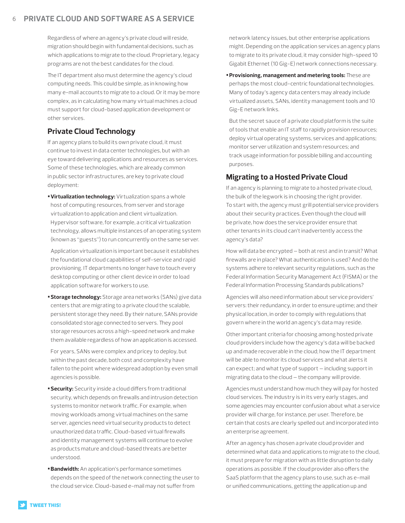### 6 **Private Cloud and Software as a Service**

Regardless of where an agency's private cloud will reside, migration should begin with fundamental decisions, such as which applications to migrate to the cloud. Proprietary, legacy programs are not the best candidates for the cloud.

The IT department also must determine the agency's cloud computing needs. This could be simple, as in knowing how many e-mail accounts to migrate to a cloud. Or it may be more complex, as in calculating how many virtual machines a cloud must support for cloud-based application development or other services.

# **Private Cloud Technology**

If an agency plans to build its own private cloud, it must continue to invest in data center technologies, but with an eye toward delivering applications and resources as services. Some of these technologies, which are already common in public sector infrastructures, are key to private cloud deployment:

**• Virtualization technology:** Virtualization spans a whole host of computing resources, from server and storage virtualization to application and client virtualization. Hypervisor software, for example, a critical virtualization technology, allows multiple instances of an operating system (known as "guests") to run concurrently on the same server.

**•**Application virtualization is important because it establishes the foundational cloud capabilities of self-service and rapid provisioning. IT departments no longer have to touch every desktop computing or other client device in order to load application software for workers to use.

**•Storage technology:** Storage area networks (SANs) give data centers that are migrating to a private cloud the scalable, persistent storage they need. By their nature, SANs provide consolidated storage connected to servers. They pool storage resources across a high-speed network and make them available regardless of how an application is accessed.

**•**For years, SANs were complex and pricey to deploy, but within the past decade, both cost and complexity have fallen to the point where widespread adoption by even small agencies is possible.

- **•Security:** Security inside a cloud differs from traditional security, which depends on firewalls and intrusion detection systems to monitor network traffic. For example, when moving workloads among virtual machines on the same server, agencies need virtual security products to detect unauthorized data traffic. Cloud-based virtual firewalls and identity management systems will continue to evolve as products mature and cloud-based threats are better understood.
- **•Bandwidth:** An application's performance sometimes depends on the speed of the network connecting the user to the cloud service. Cloud-based e-mail may not suffer from

network latency issues, but other enterprise applications might. Depending on the application services an agency plans to migrate to its private cloud, it may consider high-speed 10 Gigabit Ethernet (10 Gig-E) network connections necessary.

**•Provisioning, management and metering tools:** These are perhaps the most cloud-centric foundational technologies. Many of today's agency data centers may already include virtualized assets, SANs, identity management tools and 10 Gig-E network links.

**•**But the secret sauce of a private cloud platform is the suite of tools that enable an IT staff to rapidly provision resources; deploy virtual operating systems, services and applications; monitor server utilization and system resources; and track usage information for possible billing and accounting purposes.

# **Migrating to a Hosted Private Cloud**

If an agency is planning to migrate to a hosted private cloud, the bulk of the legwork is in choosing the right provider. To start with, the agency must grill potential service providers about their security practices. Even though the cloud will be private, how does the service provider ensure that other tenants in its cloud can't inadvertently access the agency's data?

How will data be encrypted — both at rest and in transit? What firewalls are in place? What authentication is used? And do the systems adhere to relevant security regulations, such as the Federal Information Security Management Act (FISMA) or the Federal Information Processing Standards publications?

Agencies will also need information about service providers' servers: their redundancy, in order to ensure uptime; and their physical location, in order to comply with regulations that govern where in the world an agency's data may reside.

Other important criteria for choosing among hosted private cloud providers include how the agency's data will be backed up and made recoverable in the cloud; how the IT department will be able to monitor its cloud services and what alerts it can expect; and what type of support — including support in migrating data to the cloud — the company will provide.

Agencies must understand how much they will pay for hosted cloud services. The industry is in its very early stages, and some agencies may encounter confusion about what a service provider will charge, for instance, per user. Therefore, be certain that costs are clearly spelled out and incorporated into an enterprise agreement.

After an agency has chosen a private cloud provider and determined what data and applications to migrate to the cloud, it must prepare for migration with as little disruption to daily operations as possible. If the cloud provider also offers the SaaS platform that the agency plans to use, such as e-mail or unified communications, getting the application up and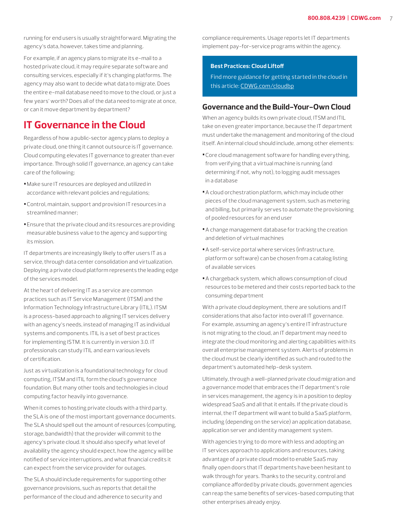<span id="page-6-0"></span>running for end users is usually straightforward. Migrating the agency's data, however, takes time and planning.

For example, if an agency plans to migrate its e-mail to a hosted private cloud, it may require separate software and consulting services, especially if it's changing platforms. The agency may also want to decide what data to migrate. Does the entire e-mail database need to move to the cloud, or just a few years' worth? Does all of the data need to migrate at once, or can it move department by department?

# **IT Governance in the Cloud**

Regardless of how a public-sector agency plans to deploy a private cloud, one thing it cannot outsource is IT governance. Cloud computing elevates IT governance to greater than ever importance. Through solid IT governance, an agency can take care of the following:

- **•**Make sure IT resources are deployed and utilized in accordance with relevant policies and regulations;
- **•**Control, maintain, support and provision IT resources in a streamlined manner;
- **•**Ensure that the private cloud and its resources are providing measurable business value to the agency and supporting its mission.

IT departments are increasingly likely to offer users IT as a service, through data center consolidation and virtualization. Deploying a private cloud platform represents the leading edge of the services model.

At the heart of delivering IT as a service are common practices such as IT Service Management (ITSM) and the Information Technology Infrastructure Library (ITIL). ITSM is a process-based approach to aligning IT services delivery with an agency's needs, instead of managing IT as individual systems and components. ITIL is a set of best practices for implementing ISTM. It is currently in version 3.0. IT professionals can study ITIL and earn various levels of certification.

Just as virtualization is a foundational technology for cloud computing, ITSM and ITIL form the cloud's governance foundation. But many other tools and technologies in cloud computing factor heavily into governance.

When it comes to hosting private clouds with a third party, the SLA is one of the most important governance documents. The SLA should spell out the amount of resources (computing, storage, bandwidth) that the provider will commit to the agency's private cloud. It should also specify what level of availability the agency should expect, how the agency will be notified of service interruptions, and what financial credits it can expect from the service provider for outages.

The SLA should include requirements for supporting other governance provisions, such as reports that detail the performance of the cloud and adherence to security and

compliance requirements. Usage reports let IT departments implement pay-for-service programs within the agency.

#### **Best Practices: Cloud Liftoff**

Find more guidance for getting started in the cloud in this article: CDWG.com/cloudbp

### **Governance and the Build-Your-Own Cloud**

When an agency builds its own private cloud, ITSM and ITIL take on even greater importance, because the IT department must undertake the management and monitoring of the cloud itself. An internal cloud should include, among other elements:

- **•**Core cloud management software for handling everything, from verifying that a virtual machine is running (and determining if not, why not), to logging audit messages in a database
- **•**A cloud orchestration platform, which may include other pieces of the cloud management system, such as metering and billing, but primarily serves to automate the provisioning of pooled resources for an end user
- **•**A change management database for tracking the creation and deletion of virtual machines
- **•**A self-service portal where services (infrastructure, platform or software) can be chosen from a catalog listing of available services
- **•**A chargeback system, which allows consumption of cloud resources to be metered and their costs reported back to the consuming department

With a private cloud deployment, there are solutions and IT considerations that also factor into overall IT governance. For example, assuming an agency's entire IT infrastructure is not migrating to the cloud, an IT department may need to integrate the cloud monitoring and alerting capabilities with its overall enterprise management system. Alerts of problems in the cloud must be clearly identified as such and routed to the department's automated help-desk system.

Ultimately, through a well-planned private cloud migration and a governance model that embraces the IT department's role in services management, the agency is in a position to deploy widespread SaaS and all that it entails. If the private cloud is internal, the IT department will want to build a SaaS platform, including (depending on the service) an application database, application server and identity management system.

With agencies trying to do more with less and adopting an IT services approach to applications and resources, taking advantage of a private cloud model to enable SaaS may finally open doors that IT departments have been hesitant to walk through for years. Thanks to the security, control and compliance afforded by private clouds, government agencies can reap the same benefits of services-based computing that other enterprises already enjoy.